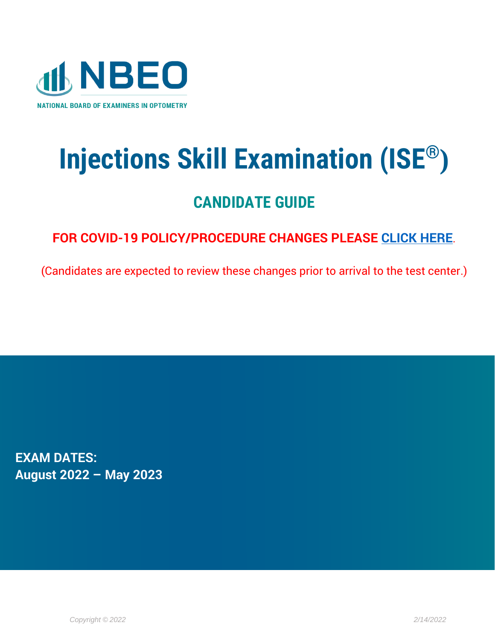

# **Injections Skill Examination (ISE®)**

# **CANDIDATE GUIDE**

# **FOR COVID-19 POLICY/PROCEDURE CHANGES PLEASE [CLICK HERE](https://www.optometry.org/media/documents/news/covid_policy_changes_2.pdf)**.

(Candidates are expected to review these changes prior to arrival to the test center.)

**EXAM DATES: August 2022 – May 2023**

*Copyright © 2022 2/14/2022*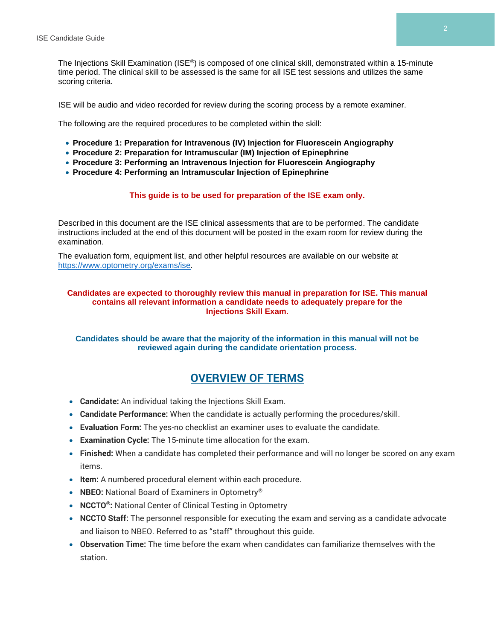The Injections Skill Examination (ISE®) is composed of one clinical skill, demonstrated within a 15-minute time period. The clinical skill to be assessed is the same for all ISE test sessions and utilizes the same scoring criteria.

ISE will be audio and video recorded for review during the scoring process by a remote examiner.

The following are the required procedures to be completed within the skill:

- **Procedure 1: Preparation for Intravenous (IV) Injection for Fluorescein Angiography**
- **Procedure 2: Preparation for Intramuscular (IM) Injection of Epinephrine**
- **Procedure 3: Performing an Intravenous Injection for Fluorescein Angiography**
- **Procedure 4: Performing an Intramuscular Injection of Epinephrine**

#### **This guide is to be used for preparation of the ISE exam only.**

Described in this document are the ISE clinical assessments that are to be performed. The candidate instructions included at the end of this document will be posted in the exam room for review during the examination.

The evaluation form, equipment list, and other helpful resources are available on our website at [https://www.optometry.org/exams/ise.](https://www.optometry.org/exams/ise)

#### **Candidates are expected to thoroughly review this manual in preparation for ISE. This manual contains all relevant information a candidate needs to adequately prepare for the Injections Skill Exam.**

**Candidates should be aware that the majority of the information in this manual will not be reviewed again during the candidate orientation process.**

# **OVERVIEW OF TERMS**

- **Candidate:** An individual taking the Injections Skill Exam.
- **Candidate Performance:** When the candidate is actually performing the procedures/skill.
- **Evaluation Form:** The yes-no checklist an examiner uses to evaluate the candidate.
- **Examination Cycle:** The 15-minute time allocation for the exam.
- **Finished:** When a candidate has completed their performance and will no longer be scored on any exam items.
- **Item:** A numbered procedural element within each procedure.
- **NBEO:** National Board of Examiners in Optometry®
- **NCCTO®:** National Center of Clinical Testing in Optometry
- **NCCTO Staff:** The personnel responsible for executing the exam and serving as a candidate advocate and liaison to NBEO. Referred to as "staff" throughout this guide.
- **Observation Time:** The time before the exam when candidates can familiarize themselves with the station.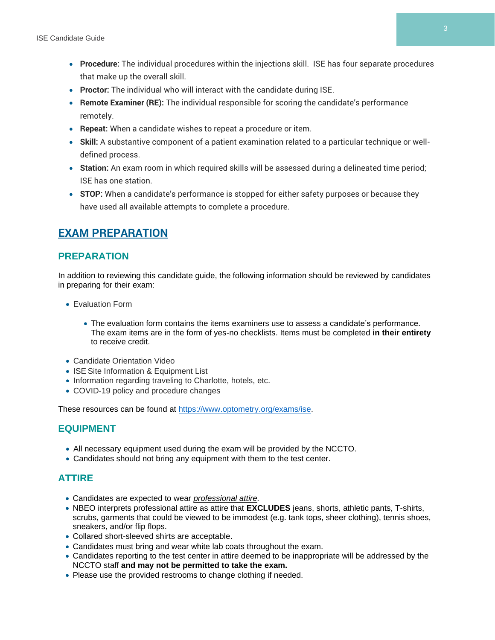- **Procedure:** The individual procedures within the injections skill. ISE has four separate procedures that make up the overall skill.
- **Proctor:** The individual who will interact with the candidate during ISE.
- **Remote Examiner (RE):** The individual responsible for scoring the candidate's performance remotely.
- **Repeat:** When a candidate wishes to repeat a procedure or item.
- **Skill:** A substantive component of a patient examination related to a particular technique or welldefined process.
- **Station:** An exam room in which required skills will be assessed during a delineated time period; ISE has one station.
- **STOP:** When a candidate's performance is stopped for either safety purposes or because they have used all available attempts to complete a procedure.

# **EXAM PREPARATION**

#### **PREPARATION**

In addition to reviewing this candidate guide, the following information should be reviewed by candidates in preparing for their exam:

- Evaluation Form
	- The evaluation form contains the items examiners use to assess a candidate's performance. The exam items are in the form of yes-no checklists. Items must be completed **in their entirety** to receive credit.
- Candidate Orientation Video
- ISE Site Information & Equipment List
- Information regarding traveling to Charlotte, hotels, etc.
- COVID-19 policy and procedure changes

These resources can be found at [https://www.optometry.org/exams/ise.](https://www.optometry.org/exams/ise)

#### **EQUIPMENT**

- All necessary equipment used during the exam will be provided by the NCCTO.
- Candidates should not bring any equipment with them to the test center.

# **ATTIRE**

- Candidates are expected to wear *professional attire.*
- NBEO interprets professional attire as attire that **EXCLUDES** jeans, shorts, athletic pants, T-shirts, scrubs, garments that could be viewed to be immodest (e.g. tank tops, sheer clothing), tennis shoes, sneakers, and/or flip flops.
- Collared short-sleeved shirts are acceptable.
- Candidates must bring and wear white lab coats throughout the exam.
- Candidates reporting to the test center in attire deemed to be inappropriate will be addressed by the NCCTO staff **and may not be permitted to take the exam.**
- Please use the provided restrooms to change clothing if needed.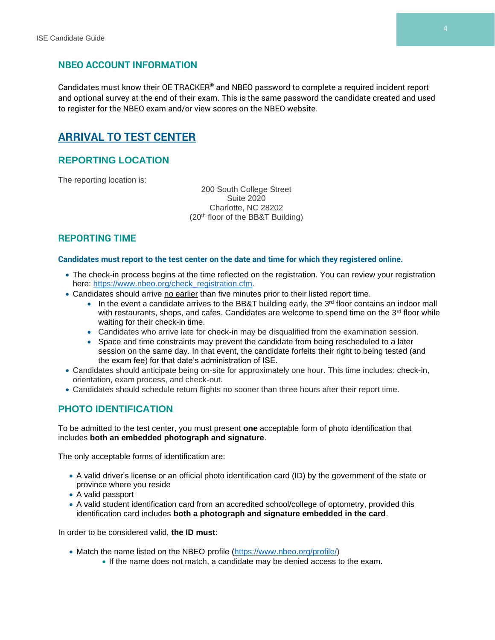#### **NBEO ACCOUNT INFORMATION**

Candidates must know their OE TRACKER® and NBEO password to complete a required incident report and optional survey at the end of their exam. This is the same password the candidate created and used to register for the NBEO exam and/or view scores on the NBEO website.

# **ARRIVAL TO TEST CENTER**

#### **REPORTING LOCATION**

The reporting location is:

200 South College Street Suite 2020 Charlotte, NC 28202 (20th floor of the BB&T Building)

#### **REPORTING TIME**

#### **Candidates must report to the test center on the date and time for which they registered online.**

- The check-in process begins at the time reflected on the registration. You can review your registration here: [https://www.nbeo.org/check\\_registration.cfm.](https://www.nbeo.org/check_registration.cfm)
- Candidates should arrive no earlier than five minutes prior to their listed report time.
	- $\bullet$  In the event a candidate arrives to the BB&T building early, the 3<sup>rd</sup> floor contains an indoor mall with restaurants, shops, and cafes. Candidates are welcome to spend time on the  $3<sup>rd</sup>$  floor while waiting for their check-in time.
	- Candidates who arrive late for check-in may be disqualified from the examination session.
	- Space and time constraints may prevent the candidate from being rescheduled to a later session on the same day. In that event, the candidate forfeits their right to being tested (and the exam fee) for that date's administration of ISE.
- Candidates should anticipate being on-site for approximately one hour. This time includes: check-in, orientation, exam process, and check-out.
- Candidates should schedule return flights no sooner than three hours after their report time.

#### **PHOTO IDENTIFICATION**

To be admitted to the test center, you must present **one** acceptable form of photo identification that includes **both an embedded photograph and signature**.

The only acceptable forms of identification are:

- A valid driver's license or an official photo identification card (ID) by the government of the state or province where you reside
- A valid passport
- A valid student identification card from an accredited school/college of optometry, provided this identification card includes **both a photograph and signature embedded in the card**.

In order to be considered valid, **the ID must**:

- Match the name listed on the NBEO profile [\(https://www.nbeo.org/profile/\)](https://www.nbeo.org/profile/)
	- If the name does not match, a candidate may be denied access to the exam.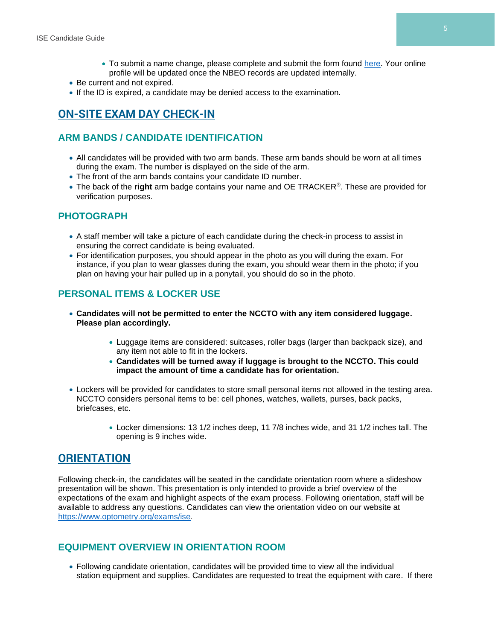- To submit a name change, please complete and submit the form found [here.](https://www.optometry.org/media/documents/registration/name_change_form_2.pdf) Your online profile will be updated once the NBEO records are updated internally.
- Be current and not expired.
- If the ID is expired, a candidate may be denied access to the examination.

# **ON-SITE EXAM DAY CHECK-IN**

#### **ARM BANDS / CANDIDATE IDENTIFICATION**

- All candidates will be provided with two arm bands. These arm bands should be worn at all times during the exam. The number is displayed on the side of the arm.
- The front of the arm bands contains your candidate ID number.
- The back of the **right** arm badge contains your name and OE TRACKER®. These are provided for verification purposes.

#### **PHOTOGRAPH**

- A staff member will take a picture of each candidate during the check-in process to assist in ensuring the correct candidate is being evaluated.
- For identification purposes, you should appear in the photo as you will during the exam. For instance, if you plan to wear glasses during the exam, you should wear them in the photo; if you plan on having your hair pulled up in a ponytail, you should do so in the photo.

# **PERSONAL ITEMS & LOCKER USE**

- **Candidates will not be permitted to enter the NCCTO with any item considered luggage. Please plan accordingly.**
	- Luggage items are considered: suitcases, roller bags (larger than backpack size), and any item not able to fit in the lockers.
	- **Candidates will be turned away if luggage is brought to the NCCTO. This could impact the amount of time a candidate has for orientation.**
- Lockers will be provided for candidates to store small personal items not allowed in the testing area. NCCTO considers personal items to be: cell phones, watches, wallets, purses, back packs, briefcases, etc.
	- Locker dimensions: 13 1/2 inches deep, 11 7/8 inches wide, and 31 1/2 inches tall. The opening is 9 inches wide.

# **ORIENTATION**

Following check-in, the candidates will be seated in the candidate orientation room where a slideshow presentation will be shown. This presentation is only intended to provide a brief overview of the expectations of the exam and highlight aspects of the exam process. Following orientation, staff will be available to address any questions. Candidates can view the orientation video on our website at [https://www.optometry.org/exams/ise.](https://www.optometry.org/exams/ise)

#### **EQUIPMENT OVERVIEW IN ORIENTATION ROOM**

• Following candidate orientation, candidates will be provided time to view all the individual station equipment and supplies. Candidates are requested to treat the equipment with care. If there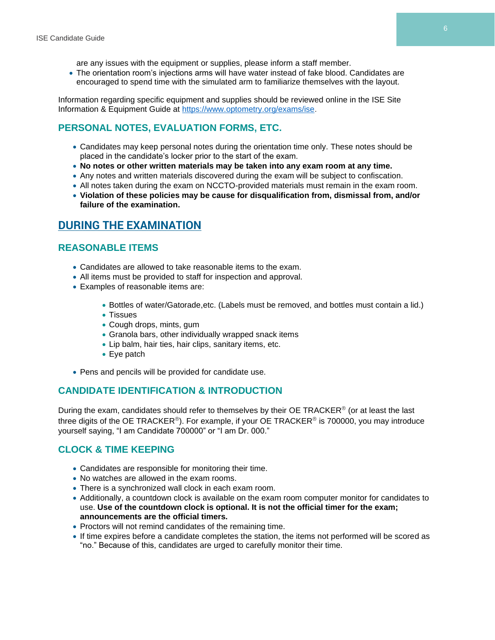are any issues with the equipment or supplies, please inform a staff member.

• The orientation room's injections arms will have water instead of fake blood. Candidates are encouraged to spend time with the simulated arm to familiarize themselves with the layout.

Information regarding specific equipment and supplies should be reviewed online in the ISE Site Information & Equipment Guide at [https://www.optometry.org/exams/ise.](https://www.optometry.org/exams/ise)

#### **PERSONAL NOTES, EVALUATION FORMS, ETC.**

- Candidates may keep personal notes during the orientation time only. These notes should be placed in the candidate's locker prior to the start of the exam.
- **No notes or other written materials may be taken into any exam room at any time.**
- Any notes and written materials discovered during the exam will be subject to confiscation.
- All notes taken during the exam on NCCTO-provided materials must remain in the exam room.
- **Violation of these policies may be cause for disqualification from, dismissal from, and/or failure of the examination.**

# **DURING THE EXAMINATION**

#### **REASONABLE ITEMS**

- Candidates are allowed to take reasonable items to the exam.
- All items must be provided to staff for inspection and approval.
- Examples of reasonable items are:
	- Bottles of water/Gatorade,etc. (Labels must be removed, and bottles must contain a lid.)
	- Tissues
	- Cough drops, mints, gum
	- Granola bars, other individually wrapped snack items
	- Lip balm, hair ties, hair clips, sanitary items, etc.
	- Eye patch
- Pens and pencils will be provided for candidate use.

#### **CANDIDATE IDENTIFICATION & INTRODUCTION**

During the exam, candidates should refer to themselves by their OE TRACKER® (or at least the last three digits of the OE TRACKER®). For example, if your OE TRACKER® is 700000, you may introduce yourself saying, "I am Candidate 700000" or "I am Dr. 000."

#### **CLOCK & TIME KEEPING**

- Candidates are responsible for monitoring their time.
- No watches are allowed in the exam rooms.
- There is a synchronized wall clock in each exam room.
- Additionally, a countdown clock is available on the exam room computer monitor for candidates to use. **Use of the countdown clock is optional. It is not the official timer for the exam; announcements are the official timers.**
- Proctors will not remind candidates of the remaining time.
- If time expires before a candidate completes the station, the items not performed will be scored as "no." Because of this, candidates are urged to carefully monitor their time.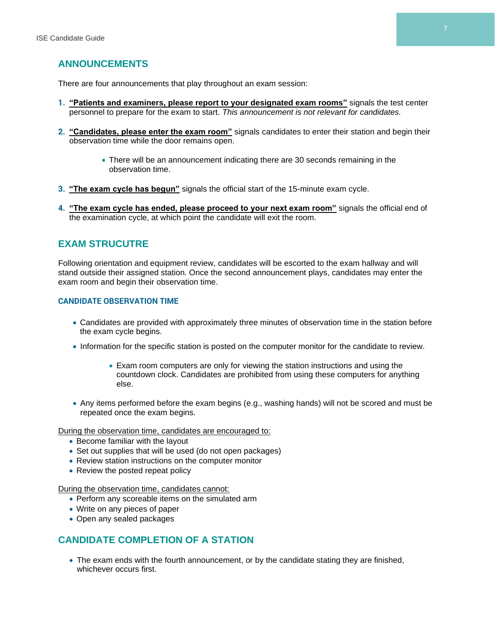#### **ANNOUNCEMENTS**

There are four announcements that play throughout an exam session:

- **1. "Patients and examiners, please report to your designated exam rooms"** signals the test center personnel to prepare for the exam to start. *This announcement is not relevant for candidates.*
- **2. "Candidates, please enter the exam room"** signals candidates to enter their station and begin their observation time while the door remains open.
	- There will be an announcement indicating there are 30 seconds remaining in the observation time.
- **3. "The exam cycle has begun"** signals the official start of the 15-minute exam cycle.
- **4. "The exam cycle has ended, please proceed to your next exam room"** signals the official end of the examination cycle, at which point the candidate will exit the room.

#### **EXAM STRUCUTRE**

Following orientation and equipment review, candidates will be escorted to the exam hallway and will stand outside their assigned station. Once the second announcement plays, candidates may enter the exam room and begin their observation time.

#### **CANDIDATE OBSERVATION TIME**

- Candidates are provided with approximately three minutes of observation time in the station before the exam cycle begins.
- Information for the specific station is posted on the computer monitor for the candidate to review.
	- Exam room computers are only for viewing the station instructions and using the countdown clock. Candidates are prohibited from using these computers for anything else.
- Any items performed before the exam begins (e.g., washing hands) will not be scored and must be repeated once the exam begins.

During the observation time, candidates are encouraged to:

- Become familiar with the layout
- Set out supplies that will be used (do not open packages)
- Review station instructions on the computer monitor
- Review the posted repeat policy

During the observation time, candidates cannot:

- Perform any scoreable items on the simulated arm
- Write on any pieces of paper
- Open any sealed packages

#### **CANDIDATE COMPLETION OF A STATION**

• The exam ends with the fourth announcement, or by the candidate stating they are finished, whichever occurs first.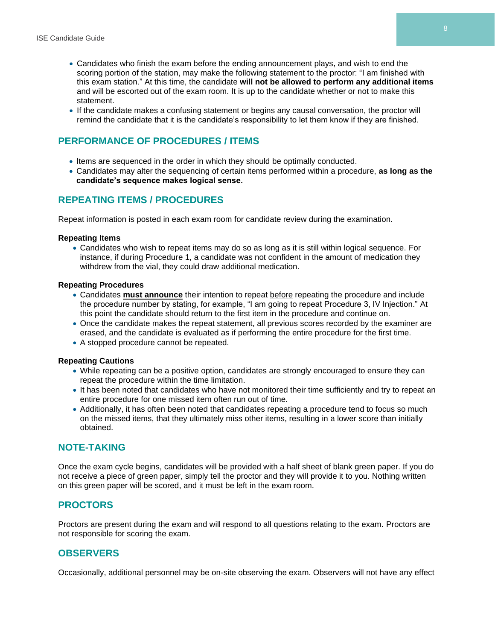- Candidates who finish the exam before the ending announcement plays, and wish to end the scoring portion of the station, may make the following statement to the proctor: "I am finished with this exam station." At this time, the candidate **will not be allowed to perform any additional items**  and will be escorted out of the exam room. It is up to the candidate whether or not to make this statement.
- If the candidate makes a confusing statement or begins any causal conversation, the proctor will remind the candidate that it is the candidate's responsibility to let them know if they are finished.

#### **PERFORMANCE OF PROCEDURES / ITEMS**

- Items are sequenced in the order in which they should be optimally conducted.
- Candidates may alter the sequencing of certain items performed within a procedure, **as long as the candidate's sequence makes logical sense.**

#### **REPEATING ITEMS / PROCEDURES**

Repeat information is posted in each exam room for candidate review during the examination.

#### **Repeating Items**

• Candidates who wish to repeat items may do so as long as it is still within logical sequence. For instance, if during Procedure 1, a candidate was not confident in the amount of medication they withdrew from the vial, they could draw additional medication.

#### **Repeating Procedures**

- Candidates **must announce** their intention to repeat before repeating the procedure and include the procedure number by stating, for example, "I am going to repeat Procedure 3, IV Injection." At this point the candidate should return to the first item in the procedure and continue on.
- Once the candidate makes the repeat statement, all previous scores recorded by the examiner are erased, and the candidate is evaluated as if performing the entire procedure for the first time.
- A stopped procedure cannot be repeated.

#### **Repeating Cautions**

- While repeating can be a positive option, candidates are strongly encouraged to ensure they can repeat the procedure within the time limitation.
- It has been noted that candidates who have not monitored their time sufficiently and try to repeat an entire procedure for one missed item often run out of time.
- Additionally, it has often been noted that candidates repeating a procedure tend to focus so much on the missed items, that they ultimately miss other items, resulting in a lower score than initially obtained.

#### **NOTE-TAKING**

Once the exam cycle begins, candidates will be provided with a half sheet of blank green paper. If you do not receive a piece of green paper, simply tell the proctor and they will provide it to you. Nothing written on this green paper will be scored, and it must be left in the exam room.

#### **PROCTORS**

Proctors are present during the exam and will respond to all questions relating to the exam. Proctors are not responsible for scoring the exam.

#### **OBSERVERS**

Occasionally, additional personnel may be on-site observing the exam. Observers will not have any effect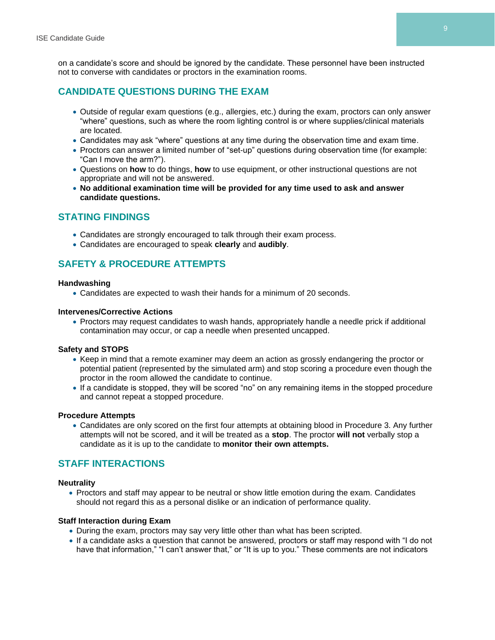on a candidate's score and should be ignored by the candidate. These personnel have been instructed not to converse with candidates or proctors in the examination rooms.

# **CANDIDATE QUESTIONS DURING THE EXAM**

- Outside of regular exam questions (e.g., allergies, etc.) during the exam, proctors can only answer "where" questions, such as where the room lighting control is or where supplies/clinical materials are located.
- Candidates may ask "where" questions at any time during the observation time and exam time.
- Proctors can answer a limited number of "set-up" questions during observation time (for example: "Can I move the arm?").
- Questions on **how** to do things, **how** to use equipment, or other instructional questions are not appropriate and will not be answered.
- **No additional examination time will be provided for any time used to ask and answer candidate questions.**

# **STATING FINDINGS**

- Candidates are strongly encouraged to talk through their exam process.
- Candidates are encouraged to speak **clearly** and **audibly**.

# **SAFETY & PROCEDURE ATTEMPTS**

#### **Handwashing**

• Candidates are expected to wash their hands for a minimum of 20 seconds.

#### **Intervenes/Corrective Actions**

• Proctors may request candidates to wash hands, appropriately handle a needle prick if additional contamination may occur, or cap a needle when presented uncapped.

#### **Safety and STOPS**

- Keep in mind that a remote examiner may deem an action as grossly endangering the proctor or potential patient (represented by the simulated arm) and stop scoring a procedure even though the proctor in the room allowed the candidate to continue.
- If a candidate is stopped, they will be scored "no" on any remaining items in the stopped procedure and cannot repeat a stopped procedure.

#### **Procedure Attempts**

• Candidates are only scored on the first four attempts at obtaining blood in Procedure 3. Any further attempts will not be scored, and it will be treated as a **stop**. The proctor **will not** verbally stop a candidate as it is up to the candidate to **monitor their own attempts.**

# **STAFF INTERACTIONS**

#### **Neutrality**

• Proctors and staff may appear to be neutral or show little emotion during the exam. Candidates should not regard this as a personal dislike or an indication of performance quality.

#### **Staff Interaction during Exam**

- During the exam, proctors may say very little other than what has been scripted.
- If a candidate asks a question that cannot be answered, proctors or staff may respond with "I do not have that information," "I can't answer that," or "It is up to you." These comments are not indicators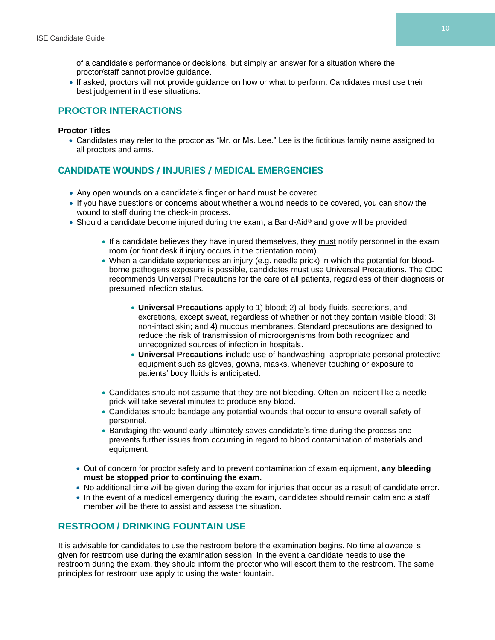of a candidate's performance or decisions, but simply an answer for a situation where the proctor/staff cannot provide guidance.

• If asked, proctors will not provide guidance on how or what to perform. Candidates must use their best judgement in these situations.

#### **PROCTOR INTERACTIONS**

#### **Proctor Titles**

• Candidates may refer to the proctor as "Mr. or Ms. Lee." Lee is the fictitious family name assigned to all proctors and arms.

#### **CANDIDATE WOUNDS / INJURIES / MEDICAL EMERGENCIES**

- Any open wounds on a candidate's finger or hand must be covered.
- If you have questions or concerns about whether a wound needs to be covered, you can show the wound to staff during the check-in process.
- Should a candidate become injured during the exam, a Band-Aid® and glove will be provided.
	- If a candidate believes they have injured themselves, they must notify personnel in the exam room (or front desk if injury occurs in the orientation room).
	- When a candidate experiences an injury (e.g. needle prick) in which the potential for bloodborne pathogens exposure is possible, candidates must use Universal Precautions. The CDC recommends Universal Precautions for the care of all patients, regardless of their diagnosis or presumed infection status.
		- **Universal Precautions** apply to 1) blood; 2) all body fluids, secretions, and excretions, except sweat, regardless of whether or not they contain visible blood; 3) non-intact skin; and 4) mucous membranes. Standard precautions are designed to reduce the risk of transmission of microorganisms from both recognized and unrecognized sources of infection in hospitals.
		- **Universal Precautions** include use of handwashing, appropriate personal protective equipment such as gloves, gowns, masks, whenever touching or exposure to patients' body fluids is anticipated.
	- Candidates should not assume that they are not bleeding. Often an incident like a needle prick will take several minutes to produce any blood.
	- Candidates should bandage any potential wounds that occur to ensure overall safety of personnel.
	- Bandaging the wound early ultimately saves candidate's time during the process and prevents further issues from occurring in regard to blood contamination of materials and equipment.
	- Out of concern for proctor safety and to prevent contamination of exam equipment, **any bleeding must be stopped prior to continuing the exam.**
	- No additional time will be given during the exam for injuries that occur as a result of candidate error.
	- In the event of a medical emergency during the exam, candidates should remain calm and a staff member will be there to assist and assess the situation.

#### **RESTROOM / DRINKING FOUNTAIN USE**

It is advisable for candidates to use the restroom before the examination begins. No time allowance is given for restroom use during the examination session. In the event a candidate needs to use the restroom during the exam, they should inform the proctor who will escort them to the restroom. The same principles for restroom use apply to using the water fountain.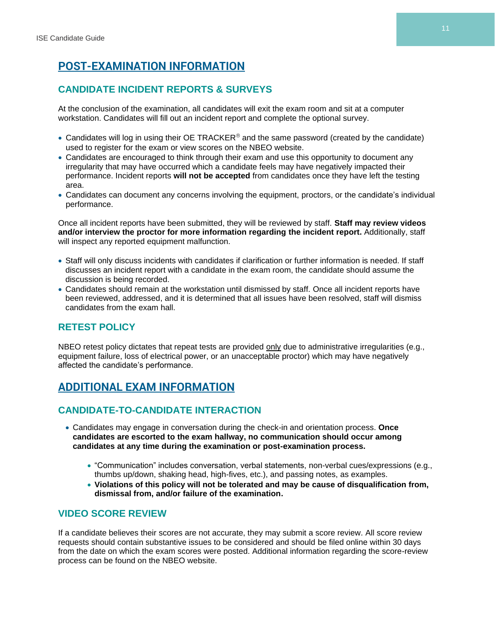# **POST-EXAMINATION INFORMATION**

# **CANDIDATE INCIDENT REPORTS & SURVEYS**

At the conclusion of the examination, all candidates will exit the exam room and sit at a computer workstation. Candidates will fill out an incident report and complete the optional survey.

- Candidates will log in using their OE TRACKER<sup>®</sup> and the same password (created by the candidate) used to register for the exam or view scores on the NBEO website.
- Candidates are encouraged to think through their exam and use this opportunity to document any irregularity that may have occurred which a candidate feels may have negatively impacted their performance. Incident reports **will not be accepted** from candidates once they have left the testing area.
- Candidates can document any concerns involving the equipment, proctors, or the candidate's individual performance.

Once all incident reports have been submitted, they will be reviewed by staff. **Staff may review videos and/or interview the proctor for more information regarding the incident report.** Additionally, staff will inspect any reported equipment malfunction.

- Staff will only discuss incidents with candidates if clarification or further information is needed. If staff discusses an incident report with a candidate in the exam room, the candidate should assume the discussion is being recorded.
- Candidates should remain at the workstation until dismissed by staff. Once all incident reports have been reviewed, addressed, and it is determined that all issues have been resolved, staff will dismiss candidates from the exam hall.

# **RETEST POLICY**

NBEO retest policy dictates that repeat tests are provided only due to administrative irregularities (e.g., equipment failure, loss of electrical power, or an unacceptable proctor) which may have negatively affected the candidate's performance.

# **ADDITIONAL EXAM INFORMATION**

# **CANDIDATE-TO-CANDIDATE INTERACTION**

- Candidates may engage in conversation during the check-in and orientation process. **Once candidates are escorted to the exam hallway, no communication should occur among candidates at any time during the examination or post-examination process.**
	- "Communication" includes conversation, verbal statements, non-verbal cues/expressions (e.g., thumbs up/down, shaking head, high-fives, etc.), and passing notes, as examples.
	- **Violations of this policy will not be tolerated and may be cause of disqualification from, dismissal from, and/or failure of the examination.**

#### **VIDEO SCORE REVIEW**

If a candidate believes their scores are not accurate, they may submit a score review. All score review requests should contain substantive issues to be considered and should be filed online within 30 days from the date on which the exam scores were posted. Additional information regarding the score-review process can be found on the NBEO website.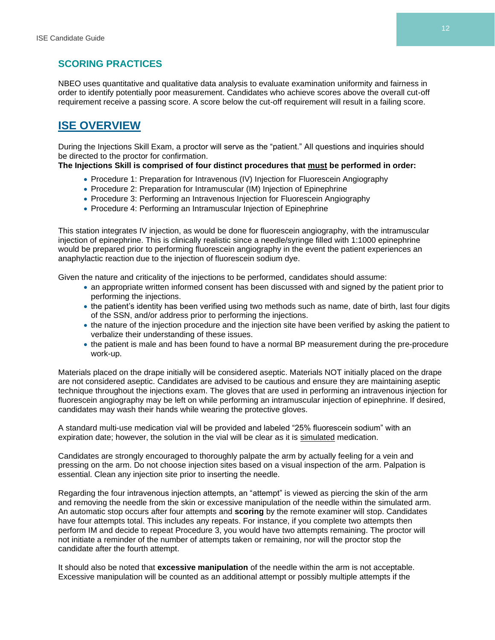#### **SCORING PRACTICES**

NBEO uses quantitative and qualitative data analysis to evaluate examination uniformity and fairness in order to identify potentially poor measurement. Candidates who achieve scores above the overall cut-off requirement receive a passing score. A score below the cut-off requirement will result in a failing score.

# **ISE OVERVIEW**

During the Injections Skill Exam, a proctor will serve as the "patient." All questions and inquiries should be directed to the proctor for confirmation.

#### **The Injections Skill is comprised of four distinct procedures that must be performed in order:**

- Procedure 1: Preparation for Intravenous (IV) Injection for Fluorescein Angiography
- Procedure 2: Preparation for Intramuscular (IM) Injection of Epinephrine
- Procedure 3: Performing an Intravenous Injection for Fluorescein Angiography
- Procedure 4: Performing an Intramuscular Injection of Epinephrine

This station integrates IV injection, as would be done for fluorescein angiography, with the intramuscular injection of epinephrine. This is clinically realistic since a needle/syringe filled with 1:1000 epinephrine would be prepared prior to performing fluorescein angiography in the event the patient experiences an anaphylactic reaction due to the injection of fluorescein sodium dye.

Given the nature and criticality of the injections to be performed, candidates should assume:

- an appropriate written informed consent has been discussed with and signed by the patient prior to performing the injections.
- the patient's identity has been verified using two methods such as name, date of birth, last four digits of the SSN, and/or address prior to performing the injections.
- the nature of the injection procedure and the injection site have been verified by asking the patient to verbalize their understanding of these issues.
- the patient is male and has been found to have a normal BP measurement during the pre-procedure work-up.

Materials placed on the drape initially will be considered aseptic. Materials NOT initially placed on the drape are not considered aseptic. Candidates are advised to be cautious and ensure they are maintaining aseptic technique throughout the injections exam. The gloves that are used in performing an intravenous injection for fluorescein angiography may be left on while performing an intramuscular injection of epinephrine. If desired, candidates may wash their hands while wearing the protective gloves.

A standard multi-use medication vial will be provided and labeled "25% fluorescein sodium" with an expiration date; however, the solution in the vial will be clear as it is simulated medication.

Candidates are strongly encouraged to thoroughly palpate the arm by actually feeling for a vein and pressing on the arm. Do not choose injection sites based on a visual inspection of the arm. Palpation is essential. Clean any injection site prior to inserting the needle.

Regarding the four intravenous injection attempts, an "attempt" is viewed as piercing the skin of the arm and removing the needle from the skin or excessive manipulation of the needle within the simulated arm. An automatic stop occurs after four attempts and **scoring** by the remote examiner will stop. Candidates have four attempts total. This includes any repeats. For instance, if you complete two attempts then perform IM and decide to repeat Procedure 3, you would have two attempts remaining. The proctor will not initiate a reminder of the number of attempts taken or remaining, nor will the proctor stop the candidate after the fourth attempt.

It should also be noted that **excessive manipulation** of the needle within the arm is not acceptable. Excessive manipulation will be counted as an additional attempt or possibly multiple attempts if the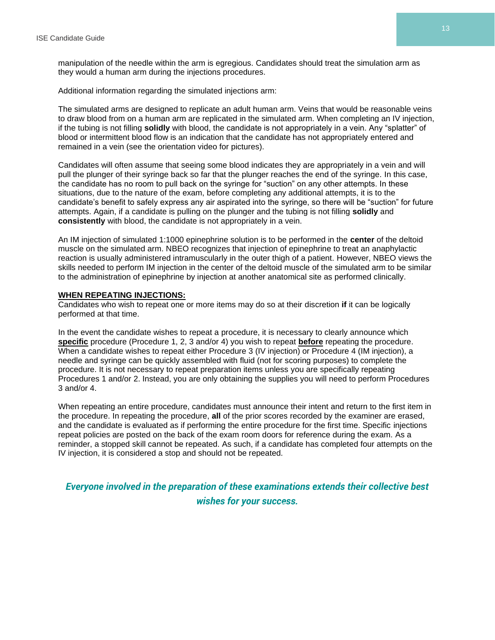manipulation of the needle within the arm is egregious. Candidates should treat the simulation arm as they would a human arm during the injections procedures.

Additional information regarding the simulated injections arm:

The simulated arms are designed to replicate an adult human arm. Veins that would be reasonable veins to draw blood from on a human arm are replicated in the simulated arm. When completing an IV injection, if the tubing is not filling **solidly** with blood, the candidate is not appropriately in a vein. Any "splatter" of blood or intermittent blood flow is an indication that the candidate has not appropriately entered and remained in a vein (see the orientation video for pictures).

Candidates will often assume that seeing some blood indicates they are appropriately in a vein and will pull the plunger of their syringe back so far that the plunger reaches the end of the syringe. In this case, the candidate has no room to pull back on the syringe for "suction" on any other attempts. In these situations, due to the nature of the exam, before completing any additional attempts, it is to the candidate's benefit to safely express any air aspirated into the syringe, so there will be "suction" for future attempts. Again, if a candidate is pulling on the plunger and the tubing is not filling **solidly** and **consistently** with blood, the candidate is not appropriately in a vein.

An IM injection of simulated 1:1000 epinephrine solution is to be performed in the **center** of the deltoid muscle on the simulated arm. NBEO recognizes that injection of epinephrine to treat an anaphylactic reaction is usually administered intramuscularly in the outer thigh of a patient. However, NBEO views the skills needed to perform IM injection in the center of the deltoid muscle of the simulated arm to be similar to the administration of epinephrine by injection at another anatomical site as performed clinically.

#### **WHEN REPEATING INJECTIONS:**

Candidates who wish to repeat one or more items may do so at their discretion **if** it can be logically performed at that time.

In the event the candidate wishes to repeat a procedure, it is necessary to clearly announce which **specific** procedure (Procedure 1, 2, 3 and/or 4) you wish to repeat **before** repeating the procedure. When a candidate wishes to repeat either Procedure 3 (IV injection) or Procedure 4 (IM injection), a needle and syringe can be quickly assembled with fluid (not for scoring purposes) to complete the procedure. It is not necessary to repeat preparation items unless you are specifically repeating Procedures 1 and/or 2. Instead, you are only obtaining the supplies you will need to perform Procedures 3 and/or 4.

When repeating an entire procedure, candidates must announce their intent and return to the first item in the procedure. In repeating the procedure, **all** of the prior scores recorded by the examiner are erased, and the candidate is evaluated as if performing the entire procedure for the first time. Specific injections repeat policies are posted on the back of the exam room doors for reference during the exam. As a reminder, a stopped skill cannot be repeated. As such, if a candidate has completed four attempts on the IV injection, it is considered a stop and should not be repeated.

*Everyone involved in the preparation of these examinations extends their collective best wishes for your success.* **®**